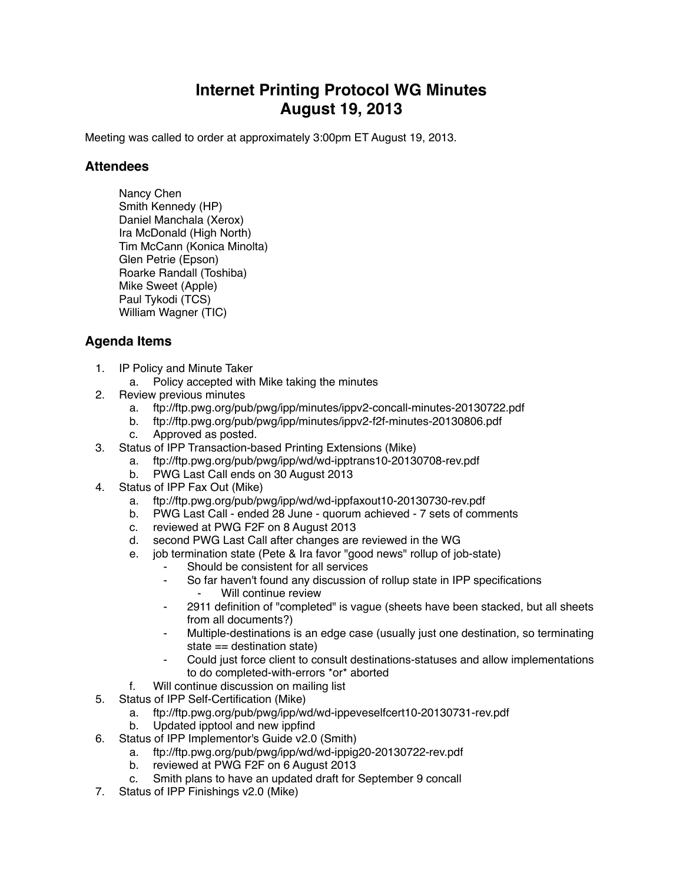## **Internet Printing Protocol WG Minutes August 19, 2013**

Meeting was called to order at approximately 3:00pm ET August 19, 2013.

## **Attendees**

Nancy Chen Smith Kennedy (HP) Daniel Manchala (Xerox) Ira McDonald (High North) Tim McCann (Konica Minolta) Glen Petrie (Epson) Roarke Randall (Toshiba) Mike Sweet (Apple) Paul Tykodi (TCS) William Wagner (TIC)

## **Agenda Items**

- 1. IP Policy and Minute Taker
	- a. Policy accepted with Mike taking the minutes
- 2. Review previous minutes
	- a. ftp://ftp.pwg.org/pub/pwg/ipp/minutes/ippv2-concall-minutes-20130722.pdf
	- b. ftp://ftp.pwg.org/pub/pwg/ipp/minutes/ippv2-f2f-minutes-20130806.pdf
	- c. Approved as posted.
- 3. Status of IPP Transaction-based Printing Extensions (Mike)
	- a. ftp://ftp.pwg.org/pub/pwg/ipp/wd/wd-ipptrans10-20130708-rev.pdf
	- b. PWG Last Call ends on 30 August 2013
- 4. Status of IPP Fax Out (Mike)
	- a. ftp://ftp.pwg.org/pub/pwg/ipp/wd/wd-ippfaxout10-20130730-rev.pdf
	- b. PWG Last Call ended 28 June quorum achieved 7 sets of comments
	- c. reviewed at PWG F2F on 8 August 2013
	- d. second PWG Last Call after changes are reviewed in the WG
	- e. job termination state (Pete & Ira favor "good news" rollup of job-state)
		- Should be consistent for all services
		- ⁃ So far haven't found any discussion of rollup state in IPP specifications Will continue review
		- ⁃ 2911 definition of "completed" is vague (sheets have been stacked, but all sheets from all documents?)
		- Multiple-destinations is an edge case (usually just one destination, so terminating state == destination state)
		- ⁃ Could just force client to consult destinations-statuses and allow implementations to do completed-with-errors \*or\* aborted
	- f. Will continue discussion on mailing list
- 5. Status of IPP Self-Certification (Mike)
	- a. ftp://ftp.pwg.org/pub/pwg/ipp/wd/wd-ippeveselfcert10-20130731-rev.pdf
	- b. Updated ipptool and new ippfind
- 6. Status of IPP Implementor's Guide v2.0 (Smith)
	- a. ftp://ftp.pwg.org/pub/pwg/ipp/wd/wd-ippig20-20130722-rev.pdf
	- b. reviewed at PWG F2F on 6 August 2013
	- c. Smith plans to have an updated draft for September 9 concall
- 7. Status of IPP Finishings v2.0 (Mike)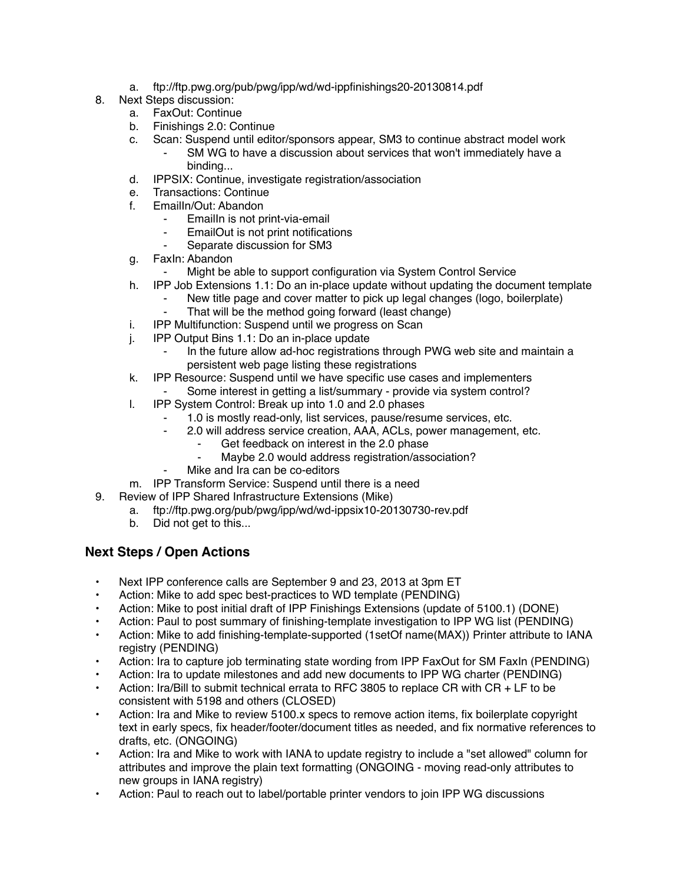- a. ftp://ftp.pwg.org/pub/pwg/ipp/wd/wd-ippfinishings20-20130814.pdf
- 8. Next Steps discussion:
	- a. FaxOut: Continue
	- b. Finishings 2.0: Continue
	- c. Scan: Suspend until editor/sponsors appear, SM3 to continue abstract model work
		- SM WG to have a discussion about services that won't immediately have a binding...
	- d. IPPSIX: Continue, investigate registration/association
	- e. Transactions: Continue
	- f. EmailIn/Out: Abandon
		- EmailIn is not print-via-email
		- EmailOut is not print notifications
		- Separate discussion for SM3
	- g. FaxIn: Abandon
		- Might be able to support configuration via System Control Service
	- h. IPP Job Extensions 1.1: Do an in-place update without updating the document template
		- New title page and cover matter to pick up legal changes (logo, boilerplate)
		- That will be the method going forward (least change)
	- i. IPP Multifunction: Suspend until we progress on Scan
	- j. IPP Output Bins 1.1: Do an in-place update
		- In the future allow ad-hoc registrations through PWG web site and maintain a persistent web page listing these registrations
	- k. IPP Resource: Suspend until we have specific use cases and implementers
		- Some interest in getting a list/summary provide via system control?
	- l. IPP System Control: Break up into 1.0 and 2.0 phases
		- 1.0 is mostly read-only, list services, pause/resume services, etc.
		- ⁃ 2.0 will address service creation, AAA, ACLs, power management, etc.
			- Get feedback on interest in the 2.0 phase
			- Maybe 2.0 would address registration/association?
		- Mike and Ira can be co-editors
	- m. IPP Transform Service: Suspend until there is a need
- 9. Review of IPP Shared Infrastructure Extensions (Mike)
	- a. ftp://ftp.pwg.org/pub/pwg/ipp/wd/wd-ippsix10-20130730-rev.pdf
	- b. Did not get to this...

## **Next Steps / Open Actions**

- Next IPP conference calls are September 9 and 23, 2013 at 3pm ET
- Action: Mike to add spec best-practices to WD template (PENDING)
- Action: Mike to post initial draft of IPP Finishings Extensions (update of 5100.1) (DONE)
- Action: Paul to post summary of finishing-template investigation to IPP WG list (PENDING)
- Action: Mike to add finishing-template-supported (1setOf name(MAX)) Printer attribute to IANA registry (PENDING)
- Action: Ira to capture job terminating state wording from IPP FaxOut for SM FaxIn (PENDING)
- Action: Ira to update milestones and add new documents to IPP WG charter (PENDING)
- Action: Ira/Bill to submit technical errata to RFC 3805 to replace CR with CR + LF to be consistent with 5198 and others (CLOSED)
- Action: Ira and Mike to review 5100.x specs to remove action items, fix boilerplate copyright text in early specs, fix header/footer/document titles as needed, and fix normative references to drafts, etc. (ONGOING)
- Action: Ira and Mike to work with IANA to update registry to include a "set allowed" column for attributes and improve the plain text formatting (ONGOING - moving read-only attributes to new groups in IANA registry)
- Action: Paul to reach out to label/portable printer vendors to join IPP WG discussions